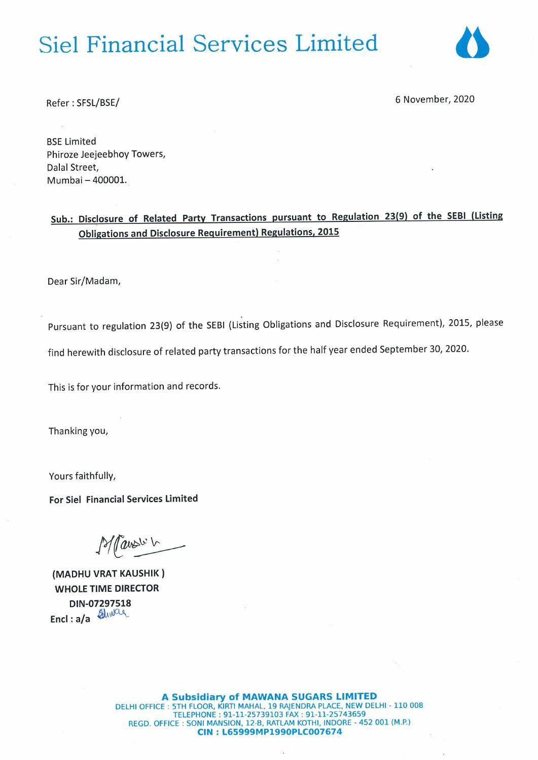# **Siel Financial Services Limited**



Refer : SFSL/BSE/ 6 November, <sup>2020</sup>

BSE Limited Phiroze Jeejeebhoy Towers, Dalal Street, Mumbai — 400001.

Sub.: Disclosure of Related Party Transactions pursuant to Regulation 23(9) of the SEBI (Listing Obligations and Disclosure Requirement) Regulations, 2015

Dear Sir/Madam,

Pursuant to regulation 23(9) of the SEBI (Listing Obligations and Disclosure Requirement), 2015, please

find herewith disclosure of related party transactions for the half year ended September 30, 2020.

This is for your information and records.

Thanking you,

Yours faithfully,

For Siel Financial Services Limited

Is/ Pause L

(MADHU VRAT KAUSHIK ) WHOLE TIME DIRECTOR DIN-07297518<br>Encl: a/a

A Subsidiary of MAWANA SUGARS LIMITED DELHI OFFICE : 5TH FLOOR, KIRTI MAHAL, 19 RAJENDRA PLACE, NEW DELHI - 110 008 TELEPHONE : 91-11-25739103 FAX : 91-11-25743659 REGD. OFFICE : SONI MANSION, 12-B, RATLAM KOTHI, INDORE - 452 001 (M.P.) CIN : L65999MP1990PLC007674